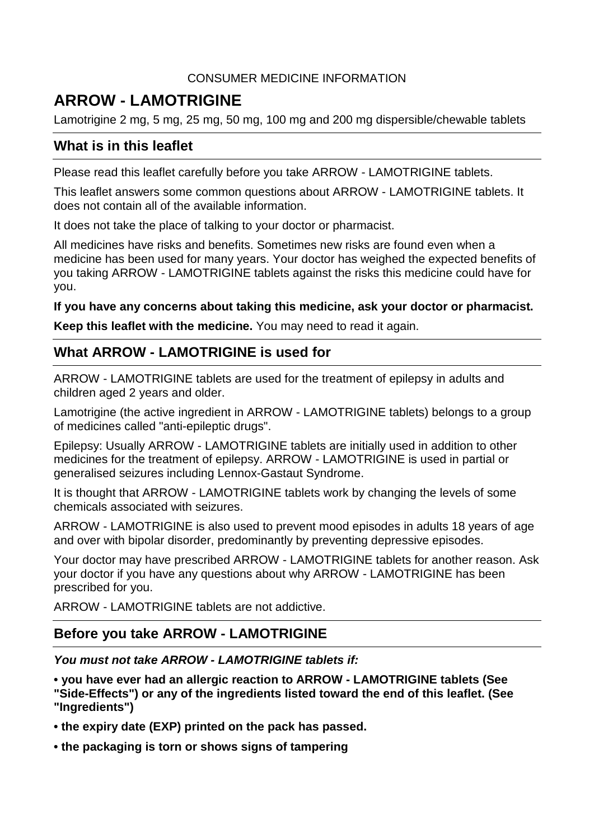## CONSUMER MEDICINE INFORMATION

# **ARROW - LAMOTRIGINE**

Lamotrigine 2 mg, 5 mg, 25 mg, 50 mg, 100 mg and 200 mg dispersible/chewable tablets

## **What is in this leaflet**

Please read this leaflet carefully before you take ARROW - LAMOTRIGINE tablets.

This leaflet answers some common questions about ARROW - LAMOTRIGINE tablets. It does not contain all of the available information.

It does not take the place of talking to your doctor or pharmacist.

All medicines have risks and benefits. Sometimes new risks are found even when a medicine has been used for many years. Your doctor has weighed the expected benefits of you taking ARROW - LAMOTRIGINE tablets against the risks this medicine could have for you.

## **If you have any concerns about taking this medicine, ask your doctor or pharmacist.**

**Keep this leaflet with the medicine.** You may need to read it again.

## **What ARROW - LAMOTRIGINE is used for**

ARROW - LAMOTRIGINE tablets are used for the treatment of epilepsy in adults and children aged 2 years and older.

Lamotrigine (the active ingredient in ARROW - LAMOTRIGINE tablets) belongs to a group of medicines called "anti-epileptic drugs".

Epilepsy: Usually ARROW - LAMOTRIGINE tablets are initially used in addition to other medicines for the treatment of epilepsy. ARROW - LAMOTRIGINE is used in partial or generalised seizures including Lennox-Gastaut Syndrome.

It is thought that ARROW - LAMOTRIGINE tablets work by changing the levels of some chemicals associated with seizures.

ARROW - LAMOTRIGINE is also used to prevent mood episodes in adults 18 years of age and over with bipolar disorder, predominantly by preventing depressive episodes.

Your doctor may have prescribed ARROW - LAMOTRIGINE tablets for another reason. Ask your doctor if you have any questions about why ARROW - LAMOTRIGINE has been prescribed for you.

ARROW - LAMOTRIGINE tablets are not addictive.

## **Before you take ARROW - LAMOTRIGINE**

*You must not take ARROW - LAMOTRIGINE tablets if:*

**• you have ever had an allergic reaction to ARROW - LAMOTRIGINE tablets (See "Side-Effects") or any of the ingredients listed toward the end of this leaflet. (See "Ingredients")**

**• the expiry date (EXP) printed on the pack has passed.**

**• the packaging is torn or shows signs of tampering**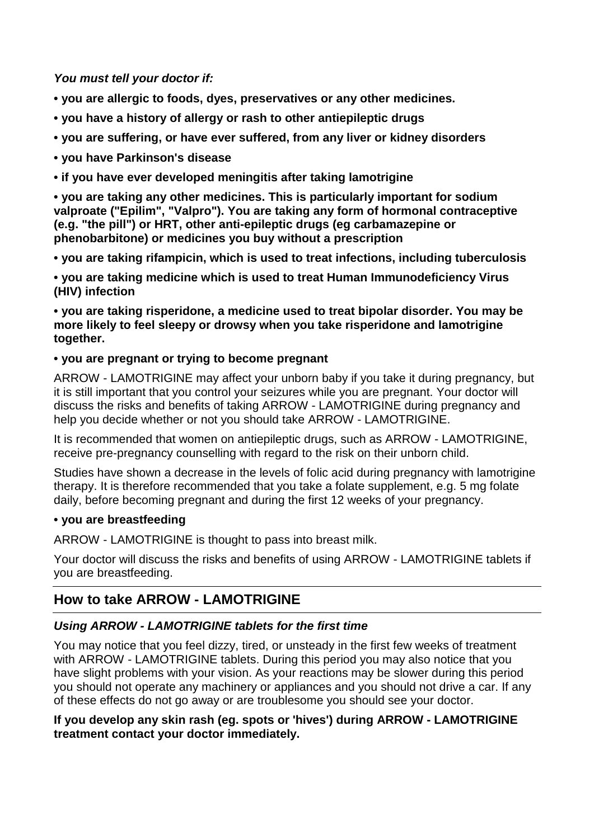*You must tell your doctor if:*

**• you are allergic to foods, dyes, preservatives or any other medicines.**

- **• you have a history of allergy or rash to other antiepileptic drugs**
- **• you are suffering, or have ever suffered, from any liver or kidney disorders**
- **• you have Parkinson's disease**
- **• if you have ever developed meningitis after taking lamotrigine**

**• you are taking any other medicines. This is particularly important for sodium valproate ("Epilim", "Valpro"). You are taking any form of hormonal contraceptive (e.g. "the pill") or HRT, other anti-epileptic drugs (eg carbamazepine or phenobarbitone) or medicines you buy without a prescription**

**• you are taking rifampicin, which is used to treat infections, including tuberculosis**

**• you are taking medicine which is used to treat Human Immunodeficiency Virus (HIV) infection**

**• you are taking risperidone, a medicine used to treat bipolar disorder. You may be more likely to feel sleepy or drowsy when you take risperidone and lamotrigine together.**

## **• you are pregnant or trying to become pregnant**

ARROW - LAMOTRIGINE may affect your unborn baby if you take it during pregnancy, but it is still important that you control your seizures while you are pregnant. Your doctor will discuss the risks and benefits of taking ARROW - LAMOTRIGINE during pregnancy and help you decide whether or not you should take ARROW - LAMOTRIGINE.

It is recommended that women on antiepileptic drugs, such as ARROW - LAMOTRIGINE, receive pre-pregnancy counselling with regard to the risk on their unborn child.

Studies have shown a decrease in the levels of folic acid during pregnancy with lamotrigine therapy. It is therefore recommended that you take a folate supplement, e.g. 5 mg folate daily, before becoming pregnant and during the first 12 weeks of your pregnancy.

## **• you are breastfeeding**

ARROW - LAMOTRIGINE is thought to pass into breast milk.

Your doctor will discuss the risks and benefits of using ARROW - LAMOTRIGINE tablets if you are breastfeeding.

## **How to take ARROW - LAMOTRIGINE**

## *Using ARROW - LAMOTRIGINE tablets for the first time*

You may notice that you feel dizzy, tired, or unsteady in the first few weeks of treatment with ARROW - LAMOTRIGINE tablets. During this period you may also notice that you have slight problems with your vision. As your reactions may be slower during this period you should not operate any machinery or appliances and you should not drive a car. If any of these effects do not go away or are troublesome you should see your doctor.

### **If you develop any skin rash (eg. spots or 'hives') during ARROW - LAMOTRIGINE treatment contact your doctor immediately.**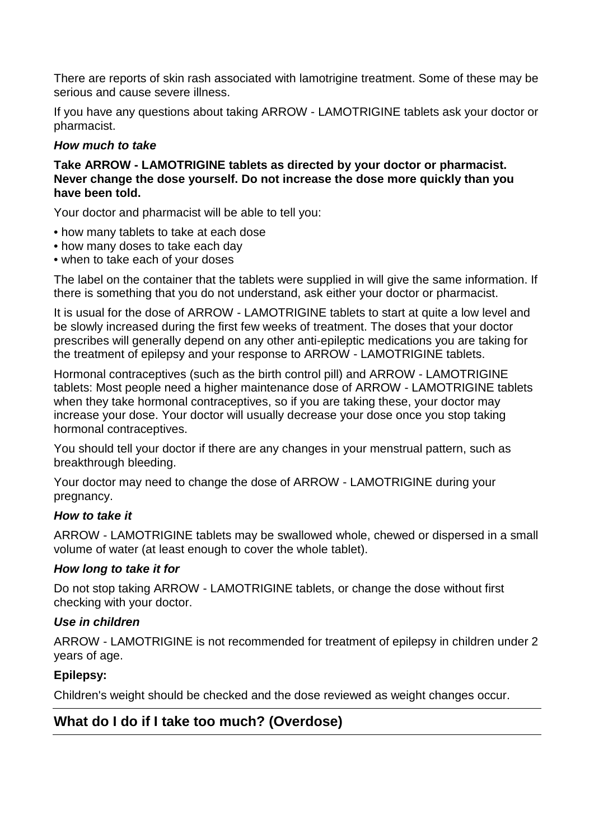There are reports of skin rash associated with lamotrigine treatment. Some of these may be serious and cause severe illness.

If you have any questions about taking ARROW - LAMOTRIGINE tablets ask your doctor or pharmacist.

## *How much to take*

#### **Take ARROW - LAMOTRIGINE tablets as directed by your doctor or pharmacist. Never change the dose yourself. Do not increase the dose more quickly than you have been told.**

Your doctor and pharmacist will be able to tell you:

- how many tablets to take at each dose
- how many doses to take each day
- when to take each of your doses

The label on the container that the tablets were supplied in will give the same information. If there is something that you do not understand, ask either your doctor or pharmacist.

It is usual for the dose of ARROW - LAMOTRIGINE tablets to start at quite a low level and be slowly increased during the first few weeks of treatment. The doses that your doctor prescribes will generally depend on any other anti-epileptic medications you are taking for the treatment of epilepsy and your response to ARROW - LAMOTRIGINE tablets.

Hormonal contraceptives (such as the birth control pill) and ARROW - LAMOTRIGINE tablets: Most people need a higher maintenance dose of ARROW - LAMOTRIGINE tablets when they take hormonal contraceptives, so if you are taking these, your doctor may increase your dose. Your doctor will usually decrease your dose once you stop taking hormonal contraceptives.

You should tell your doctor if there are any changes in your menstrual pattern, such as breakthrough bleeding.

Your doctor may need to change the dose of ARROW - LAMOTRIGINE during your pregnancy.

## *How to take it*

ARROW - LAMOTRIGINE tablets may be swallowed whole, chewed or dispersed in a small volume of water (at least enough to cover the whole tablet).

## *How long to take it for*

Do not stop taking ARROW - LAMOTRIGINE tablets, or change the dose without first checking with your doctor.

## *Use in children*

ARROW - LAMOTRIGINE is not recommended for treatment of epilepsy in children under 2 years of age.

## **Epilepsy:**

Children's weight should be checked and the dose reviewed as weight changes occur.

## **What do I do if I take too much? (Overdose)**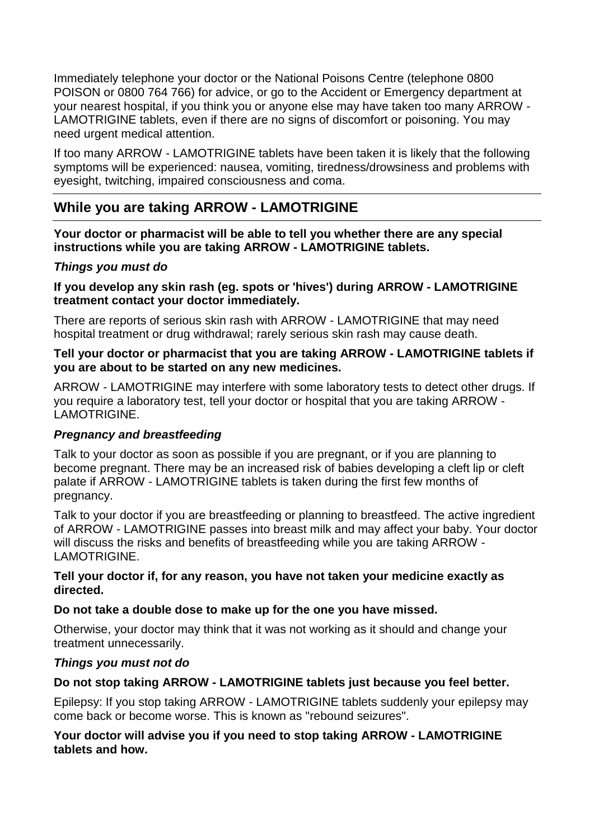Immediately telephone your doctor or the National Poisons Centre (telephone 0800 POISON or 0800 764 766) for advice, or go to the Accident or Emergency department at your nearest hospital, if you think you or anyone else may have taken too many ARROW - LAMOTRIGINE tablets, even if there are no signs of discomfort or poisoning. You may need urgent medical attention.

If too many ARROW - LAMOTRIGINE tablets have been taken it is likely that the following symptoms will be experienced: nausea, vomiting, tiredness/drowsiness and problems with eyesight, twitching, impaired consciousness and coma.

## **While you are taking ARROW - LAMOTRIGINE**

**Your doctor or pharmacist will be able to tell you whether there are any special instructions while you are taking ARROW - LAMOTRIGINE tablets.**

## *Things you must do*

**If you develop any skin rash (eg. spots or 'hives') during ARROW - LAMOTRIGINE treatment contact your doctor immediately.** 

There are reports of serious skin rash with ARROW - LAMOTRIGINE that may need hospital treatment or drug withdrawal; rarely serious skin rash may cause death.

#### **Tell your doctor or pharmacist that you are taking ARROW - LAMOTRIGINE tablets if you are about to be started on any new medicines.**

ARROW - LAMOTRIGINE may interfere with some laboratory tests to detect other drugs. If you require a laboratory test, tell your doctor or hospital that you are taking ARROW - LAMOTRIGINE.

#### *Pregnancy and breastfeeding*

Talk to your doctor as soon as possible if you are pregnant, or if you are planning to become pregnant. There may be an increased risk of babies developing a cleft lip or cleft palate if ARROW - LAMOTRIGINE tablets is taken during the first few months of pregnancy.

Talk to your doctor if you are breastfeeding or planning to breastfeed. The active ingredient of ARROW - LAMOTRIGINE passes into breast milk and may affect your baby. Your doctor will discuss the risks and benefits of breastfeeding while you are taking ARROW - **LAMOTRIGINE** 

#### **Tell your doctor if, for any reason, you have not taken your medicine exactly as directed.**

#### **Do not take a double dose to make up for the one you have missed.**

Otherwise, your doctor may think that it was not working as it should and change your treatment unnecessarily.

#### *Things you must not do*

#### **Do not stop taking ARROW - LAMOTRIGINE tablets just because you feel better.**

Epilepsy: If you stop taking ARROW - LAMOTRIGINE tablets suddenly your epilepsy may come back or become worse. This is known as "rebound seizures".

### **Your doctor will advise you if you need to stop taking ARROW - LAMOTRIGINE tablets and how.**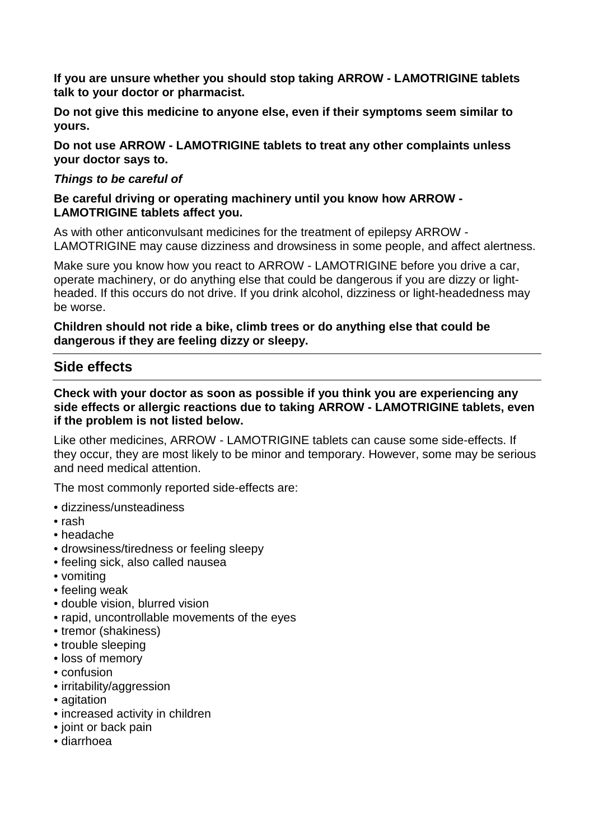**If you are unsure whether you should stop taking ARROW - LAMOTRIGINE tablets talk to your doctor or pharmacist.** 

**Do not give this medicine to anyone else, even if their symptoms seem similar to yours.** 

**Do not use ARROW - LAMOTRIGINE tablets to treat any other complaints unless your doctor says to.** 

#### *Things to be careful of*

#### **Be careful driving or operating machinery until you know how ARROW - LAMOTRIGINE tablets affect you.**

As with other anticonvulsant medicines for the treatment of epilepsy ARROW - LAMOTRIGINE may cause dizziness and drowsiness in some people, and affect alertness.

Make sure you know how you react to ARROW - LAMOTRIGINE before you drive a car, operate machinery, or do anything else that could be dangerous if you are dizzy or lightheaded. If this occurs do not drive. If you drink alcohol, dizziness or light-headedness may be worse.

#### **Children should not ride a bike, climb trees or do anything else that could be dangerous if they are feeling dizzy or sleepy.**

## **Side effects**

#### **Check with your doctor as soon as possible if you think you are experiencing any side effects or allergic reactions due to taking ARROW - LAMOTRIGINE tablets, even if the problem is not listed below.**

Like other medicines, ARROW - LAMOTRIGINE tablets can cause some side-effects. If they occur, they are most likely to be minor and temporary. However, some may be serious and need medical attention.

The most commonly reported side-effects are:

- dizziness/unsteadiness
- rash
- headache
- drowsiness/tiredness or feeling sleepy
- feeling sick, also called nausea
- vomiting
- feeling weak
- double vision, blurred vision
- rapid, uncontrollable movements of the eyes
- tremor (shakiness)
- trouble sleeping
- loss of memory
- confusion
- irritability/aggression
- agitation
- increased activity in children
- joint or back pain
- diarrhoea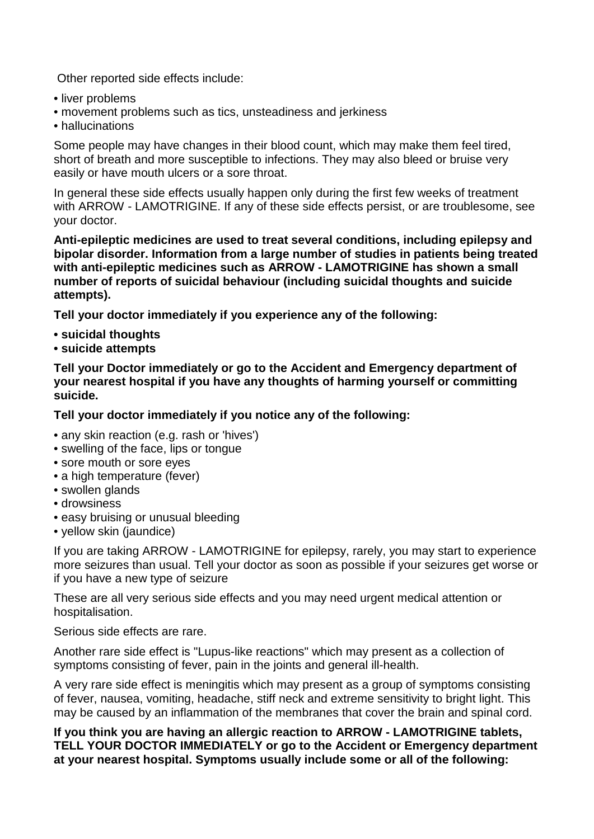Other reported side effects include:

- liver problems
- movement problems such as tics, unsteadiness and jerkiness
- hallucinations

Some people may have changes in their blood count, which may make them feel tired, short of breath and more susceptible to infections. They may also bleed or bruise very easily or have mouth ulcers or a sore throat.

In general these side effects usually happen only during the first few weeks of treatment with ARROW - LAMOTRIGINE. If any of these side effects persist, or are troublesome, see your doctor.

**Anti-epileptic medicines are used to treat several conditions, including epilepsy and bipolar disorder. Information from a large number of studies in patients being treated with anti-epileptic medicines such as ARROW - LAMOTRIGINE has shown a small number of reports of suicidal behaviour (including suicidal thoughts and suicide attempts).** 

**Tell your doctor immediately if you experience any of the following:** 

- **suicidal thoughts**
- **suicide attempts**

**Tell your Doctor immediately or go to the Accident and Emergency department of your nearest hospital if you have any thoughts of harming yourself or committing suicide.** 

**Tell your doctor immediately if you notice any of the following:** 

- any skin reaction (e.g. rash or 'hives')
- swelling of the face, lips or tongue
- sore mouth or sore eyes
- a high temperature (fever)
- swollen glands
- drowsiness
- easy bruising or unusual bleeding
- yellow skin (jaundice)

If you are taking ARROW - LAMOTRIGINE for epilepsy, rarely, you may start to experience more seizures than usual. Tell your doctor as soon as possible if your seizures get worse or if you have a new type of seizure

These are all very serious side effects and you may need urgent medical attention or hospitalisation.

Serious side effects are rare.

Another rare side effect is "Lupus-like reactions" which may present as a collection of symptoms consisting of fever, pain in the joints and general ill-health.

A very rare side effect is meningitis which may present as a group of symptoms consisting of fever, nausea, vomiting, headache, stiff neck and extreme sensitivity to bright light. This may be caused by an inflammation of the membranes that cover the brain and spinal cord.

**If you think you are having an allergic reaction to ARROW - LAMOTRIGINE tablets, TELL YOUR DOCTOR IMMEDIATELY or go to the Accident or Emergency department at your nearest hospital. Symptoms usually include some or all of the following:**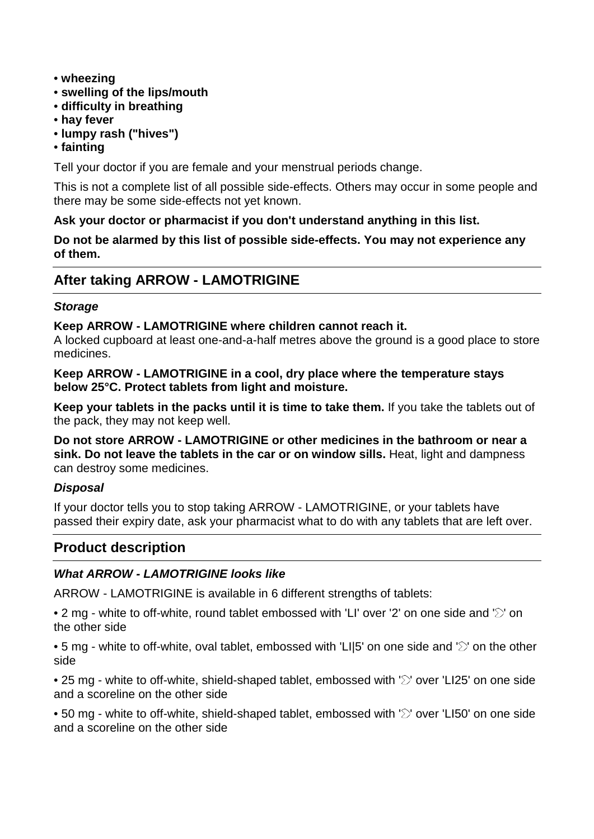- **wheezing**
- **swelling of the lips/mouth**
- **difficulty in breathing**
- **hay fever**
- **lumpy rash ("hives")**
- **fainting**

Tell your doctor if you are female and your menstrual periods change.

This is not a complete list of all possible side-effects. Others may occur in some people and there may be some side-effects not yet known.

## **Ask your doctor or pharmacist if you don't understand anything in this list.**

**Do not be alarmed by this list of possible side-effects. You may not experience any of them.**

## **After taking ARROW - LAMOTRIGINE**

### *Storage*

### **Keep ARROW - LAMOTRIGINE where children cannot reach it.**

A locked cupboard at least one-and-a-half metres above the ground is a good place to store medicines.

**Keep ARROW - LAMOTRIGINE in a cool, dry place where the temperature stays below 25°C. Protect tablets from light and moisture.**

**Keep your tablets in the packs until it is time to take them.** If you take the tablets out of the pack, they may not keep well.

**Do not store ARROW - LAMOTRIGINE or other medicines in the bathroom or near a sink. Do not leave the tablets in the car or on window sills.** Heat, light and dampness can destroy some medicines.

## *Disposal*

If your doctor tells you to stop taking ARROW - LAMOTRIGINE, or your tablets have passed their expiry date, ask your pharmacist what to do with any tablets that are left over.

## **Product description**

## *What ARROW - LAMOTRIGINE looks like*

ARROW - LAMOTRIGINE is available in 6 different strengths of tablets:

• 2 mg - white to off-white, round tablet embossed with 'LI' over '2' on one side and ' $\heartsuit$ ' on the other side

• 5 mg - white to off-white, oval tablet, embossed with 'LI|5' on one side and ' $\gtrsim$ ' on the other side

• 25 mg - white to off-white, shield-shaped tablet, embossed with ' $\gtrsim$ ' over 'LI25' on one side and a scoreline on the other side

• 50 mg - white to off-white, shield-shaped tablet, embossed with ' $\gtrsim$ ' over 'LI50' on one side and a scoreline on the other side